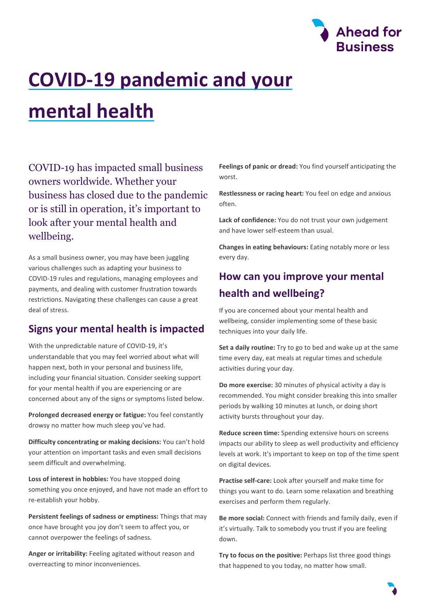

# **COVID-19 pandemic and your mental health**

COVID-19 has impacted small business owners worldwide. Whether your business has closed due to the pandemic or is still in operation, it's important to look after your mental health and wellbeing.

As a small business owner, you may have been juggling various challenges such as adapting your business to COVID-19 rules and regulations, managing employees and payments, and dealing with customer frustration towards restrictions. Navigating these challenges can cause a great deal of stress.

### **Signs your mental health is impacted**

With the unpredictable nature of COVID-19, it's understandable that you may feel worried about what will happen next, both in your personal and business life, including your financial situation. Consider seeking support for your mental health if you are experiencing or are concerned about any of the signs or symptoms listed below.

**Prolonged decreased energy or fatigue:** You feel constantly drowsy no matter how much sleep you've had.

**Difficulty concentrating or making decisions:** You can't hold your attention on important tasks and even small decisions seem difficult and overwhelming.

**Loss of interest in hobbies:** You have stopped doing something you once enjoyed, and have not made an effort to re-establish your hobby.

**Persistent feelings of sadness or emptiness:** Things that may once have brought you joy don't seem to affect you, or cannot overpower the feelings of sadness.

**Anger or irritability:** Feeling agitated without reason and overreacting to minor inconveniences.

**Feelings of panic or dread:** You find yourself anticipating the worst.

**Restlessness or racing heart:** You feel on edge and anxious often.

**Lack of confidence:** You do not trust your own judgement and have lower self-esteem than usual.

**Changes in eating behaviours:** Eating notably more or less every day.

## **How can you improve your mental health and wellbeing?**

If you are concerned about your mental health and wellbeing, consider implementing some of these basic techniques into your daily life.

**Set a daily routine:** Try to go to bed and wake up at the same time every day, eat meals at regular times and schedule activities during your day.

**Do more exercise:** 30 minutes of physical activity a day is recommended. You might consider breaking this into smaller periods by walking 10 minutes at lunch, or doing short activity bursts throughout your day.

**Reduce screen time:** Spending extensive hours on screens impacts our ability to sleep as well productivity and efficiency levels at work. It's important to keep on top of the time spent on digital devices.

**Practise self-care:** Look after yourself and make time for things you want to do. Learn some relaxation and breathing exercises and perform them regularly.

**Be more social:** Connect with friends and family daily, even if it's virtually. Talk to somebody you trust if you are feeling down.

**Try to focus on the positive:** Perhaps list three good things that happened to you today, no matter how small.